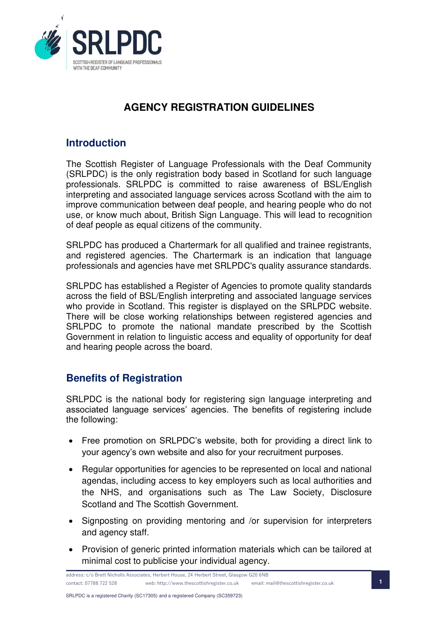

# **AGENCY REGISTRATION GUIDELINES**

## **Introduction**

The Scottish Register of Language Professionals with the Deaf Community (SRLPDC) is the only registration body based in Scotland for such language professionals. SRLPDC is committed to raise awareness of BSL/English interpreting and associated language services across Scotland with the aim to improve communication between deaf people, and hearing people who do not use, or know much about, British Sign Language. This will lead to recognition of deaf people as equal citizens of the community.

SRLPDC has produced a Chartermark for all qualified and trainee registrants, and registered agencies. The Chartermark is an indication that language professionals and agencies have met SRLPDC's quality assurance standards.

SRLPDC has established a Register of Agencies to promote quality standards across the field of BSL/English interpreting and associated language services who provide in Scotland. This register is displayed on the SRLPDC website. There will be close working relationships between registered agencies and SRLPDC to promote the national mandate prescribed by the Scottish Government in relation to linguistic access and equality of opportunity for deaf and hearing people across the board.

## **Benefits of Registration**

SRLPDC is the national body for registering sign language interpreting and associated language services' agencies. The benefits of registering include the following:

- Free promotion on SRLPDC's website, both for providing a direct link to your agency's own website and also for your recruitment purposes.
- Regular opportunities for agencies to be represented on local and national agendas, including access to key employers such as local authorities and the NHS, and organisations such as The Law Society, Disclosure Scotland and The Scottish Government.
- Signposting on providing mentoring and /or supervision for interpreters and agency staff.
- Provision of generic printed information materials which can be tailored at minimal cost to publicise your individual agency.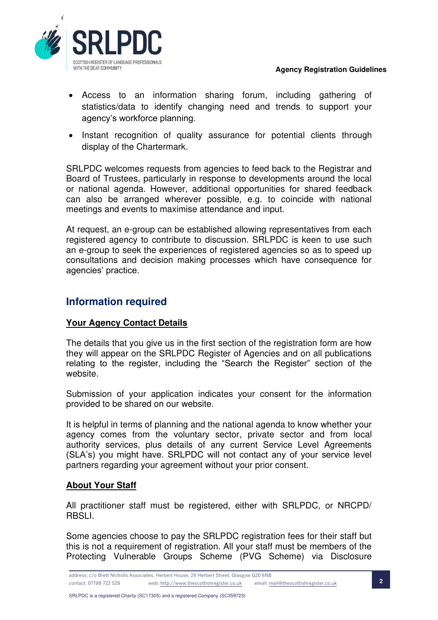

- Access to an information sharing forum, including gathering of statistics/data to identify changing need and trends to support your agency's workforce planning.
- Instant recognition of quality assurance for potential clients through display of the Chartermark.

SRLPDC welcomes requests from agencies to feed back to the Registrar and Board of Trustees, particularly in response to developments around the local or national agenda. However, additional opportunities for shared feedback can also be arranged wherever possible, e.g. to coincide with national meetings and events to maximise attendance and input.

At request, an e-group can be established allowing representatives from each registered agency to contribute to discussion. SRLPDC is keen to use such an e-group to seek the experiences of registered agencies so as to speed up consultations and decision making processes which have consequence for agencies' practice.

## **Information required**

### **Your Agency Contact Details**

The details that you give us in the first section of the registration form are how they will appear on the SRLPDC Register of Agencies and on all publications relating to the register, including the "Search the Register" section of the website.

Submission of your application indicates your consent for the information provided to be shared on our website.

It is helpful in terms of planning and the national agenda to know whether your agency comes from the voluntary sector, private sector and from local authority services, plus details of any current Service Level Agreements (SLA's) you might have. SRLPDC will not contact any of your service level partners regarding your agreement without your prior consent.

### **About Your Staff**

All practitioner staff must be registered, either with SRLPDC, or NRCPD/ RBSLI.

Some agencies choose to pay the SRLPDC registration fees for their staff but this is not a requirement of registration. All your staff must be members of the Protecting Vulnerable Groups Scheme (PVG Scheme) via Disclosure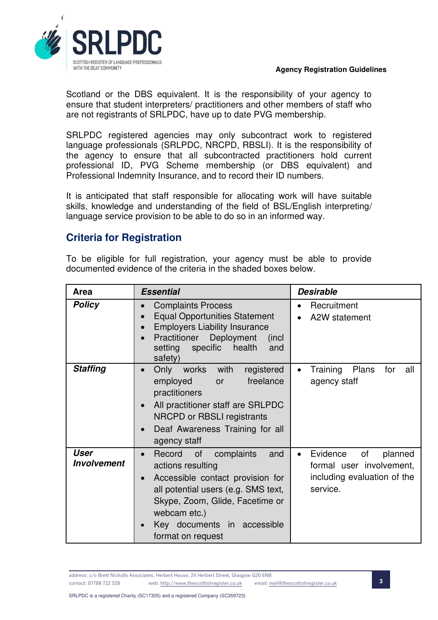

Scotland or the DBS equivalent. It is the responsibility of your agency to ensure that student interpreters/ practitioners and other members of staff who are not registrants of SRLPDC, have up to date PVG membership.

SRLPDC registered agencies may only subcontract work to registered language professionals (SRLPDC, NRCPD, RBSLI). It is the responsibility of the agency to ensure that all subcontracted practitioners hold current professional ID, PVG Scheme membership (or DBS equivalent) and Professional Indemnity Insurance, and to record their ID numbers.

It is anticipated that staff responsible for allocating work will have suitable skills, knowledge and understanding of the field of BSL/English interpreting/ language service provision to be able to do so in an informed way.

## **Criteria for Registration**

To be eligible for full registration, your agency must be able to provide documented evidence of the criteria in the shaded boxes below.

| Area                       | <b>Essential</b>                                                                                                                                                                                                                                        | <b>Desirable</b>                                                                                 |  |
|----------------------------|---------------------------------------------------------------------------------------------------------------------------------------------------------------------------------------------------------------------------------------------------------|--------------------------------------------------------------------------------------------------|--|
| <b>Policy</b>              | <b>Complaints Process</b><br><b>Equal Opportunities Statement</b><br>$\bullet$<br><b>Employers Liability Insurance</b><br>$\bullet$<br>Practitioner<br>Deployment<br>(incl)<br>specific<br>health<br>setting<br>and<br>safety)                          | Recruitment<br>A2W statement                                                                     |  |
| <b>Staffing</b>            | with<br>Only<br>works<br>registered<br>$\bullet$<br>employed<br>freelance<br><b>or</b><br>practitioners<br>All practitioner staff are SRLPDC<br>$\bullet$<br>NRCPD or RBSLI registrants<br>Deaf Awareness Training for all<br>$\bullet$<br>agency staff | Training<br><b>Plans</b><br>for<br>all<br>agency staff                                           |  |
| User<br><b>Involvement</b> | Record<br>of<br>complaints<br>and<br>actions resulting<br>Accessible contact provision for<br>$\bullet$<br>all potential users (e.g. SMS text,<br>Skype, Zoom, Glide, Facetime or<br>webcam etc.)<br>Key documents in accessible<br>format on request   | of<br>Evidence<br>planned<br>formal user involvement,<br>including evaluation of the<br>service. |  |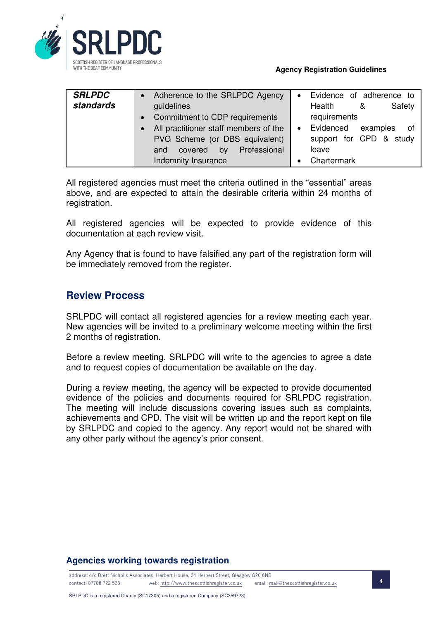

| <b>SRLPDC</b> | Adherence to the SRLPDC Agency        |           | Evidence of adherence to      |
|---------------|---------------------------------------|-----------|-------------------------------|
| standards     | guidelines                            |           | Safety<br>Health<br>&         |
|               | Commitment to CDP requirements        |           | requirements                  |
|               | All practitioner staff members of the | $\bullet$ | Evidenced<br>examples<br>ot o |
|               | PVG Scheme (or DBS equivalent)        |           | support for CPD & study       |
|               | Professional<br>by<br>covered<br>and  |           | leave                         |
|               | Indemnity Insurance                   |           | Chartermark                   |

All registered agencies must meet the criteria outlined in the "essential" areas above, and are expected to attain the desirable criteria within 24 months of registration.

All registered agencies will be expected to provide evidence of this documentation at each review visit.

Any Agency that is found to have falsified any part of the registration form will be immediately removed from the register.

## **Review Process**

SRLPDC will contact all registered agencies for a review meeting each year. New agencies will be invited to a preliminary welcome meeting within the first 2 months of registration.

Before a review meeting, SRLPDC will write to the agencies to agree a date and to request copies of documentation be available on the day.

During a review meeting, the agency will be expected to provide documented evidence of the policies and documents required for SRLPDC registration. The meeting will include discussions covering issues such as complaints, achievements and CPD. The visit will be written up and the report kept on file by SRLPDC and copied to the agency. Any report would not be shared with any other party without the agency's prior consent.

### **Agencies working towards registration**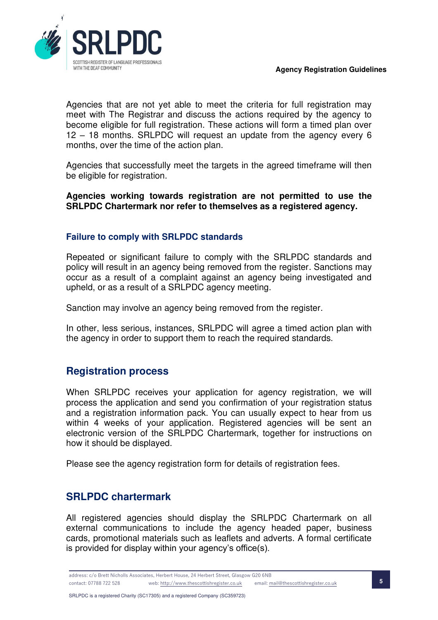

Agencies that are not yet able to meet the criteria for full registration may meet with The Registrar and discuss the actions required by the agency to become eligible for full registration. These actions will form a timed plan over 12 – 18 months. SRLPDC will request an update from the agency every 6 months, over the time of the action plan.

Agencies that successfully meet the targets in the agreed timeframe will then be eligible for registration.

**Agencies working towards registration are not permitted to use the SRLPDC Chartermark nor refer to themselves as a registered agency.** 

### **Failure to comply with SRLPDC standards**

Repeated or significant failure to comply with the SRLPDC standards and policy will result in an agency being removed from the register. Sanctions may occur as a result of a complaint against an agency being investigated and upheld, or as a result of a SRLPDC agency meeting.

Sanction may involve an agency being removed from the register.

In other, less serious, instances, SRLPDC will agree a timed action plan with the agency in order to support them to reach the required standards.

## **Registration process**

When SRLPDC receives your application for agency registration, we will process the application and send you confirmation of your registration status and a registration information pack. You can usually expect to hear from us within 4 weeks of your application. Registered agencies will be sent an electronic version of the SRLPDC Chartermark, together for instructions on how it should be displayed.

Please see the agency registration form for details of registration fees.

## **SRLPDC chartermark**

All registered agencies should display the SRLPDC Chartermark on all external communications to include the agency headed paper, business cards, promotional materials such as leaflets and adverts. A formal certificate is provided for display within your agency's office(s).